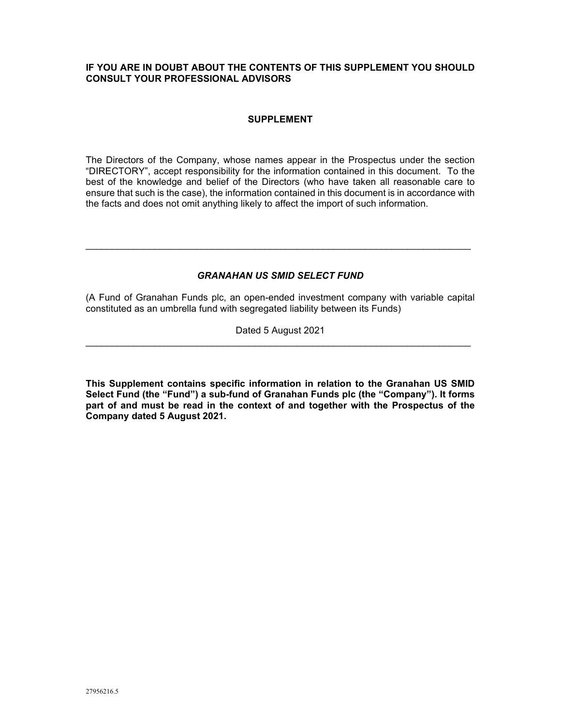# **IF YOU ARE IN DOUBT ABOUT THE CONTENTS OF THIS SUPPLEMENT YOU SHOULD CONSULT YOUR PROFESSIONAL ADVISORS**

## **SUPPLEMENT**

The Directors of the Company, whose names appear in the Prospectus under the section "DIRECTORY", accept responsibility for the information contained in this document. To the best of the knowledge and belief of the Directors (who have taken all reasonable care to ensure that such is the case), the information contained in this document is in accordance with the facts and does not omit anything likely to affect the import of such information.

## *GRANAHAN US SMID SELECT FUND*

(A Fund of Granahan Funds plc, an open-ended investment company with variable capital constituted as an umbrella fund with segregated liability between its Funds)

Dated 5 August 2021

**This Supplement contains specific information in relation to the Granahan US SMID Select Fund (the "Fund") a sub-fund of Granahan Funds plc (the "Company"). It forms part of and must be read in the context of and together with the Prospectus of the Company dated 5 August 2021.**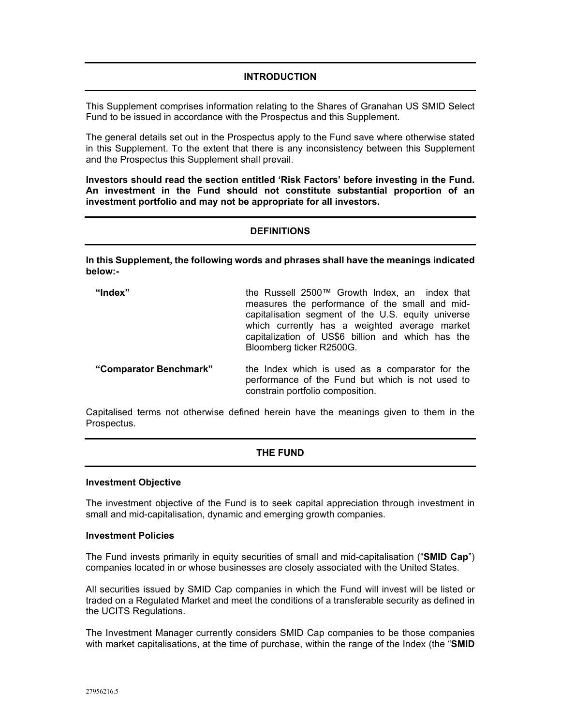# **INTRODUCTION**

This Supplement comprises information relating to the Shares of Granahan US SMID Select Fund to be issued in accordance with the Prospectus and this Supplement.

The general details set out in the Prospectus apply to the Fund save where otherwise stated in this Supplement. To the extent that there is any inconsistency between this Supplement and the Prospectus this Supplement shall prevail.

**Investors should read the section entitled 'Risk Factors' before investing in the Fund. An investment in the Fund should not constitute substantial proportion of an investment portfolio and may not be appropriate for all investors.**

### **DEFINITIONS**

**In this Supplement, the following words and phrases shall have the meanings indicated below:-**

| "Index"                | the Russell 2500™ Growth Index, an index that<br>measures the performance of the small and mid-<br>capitalisation segment of the U.S. equity universe<br>which currently has a weighted average market<br>capitalization of US\$6 billion and which has the<br>Bloomberg ticker R2500G. |
|------------------------|-----------------------------------------------------------------------------------------------------------------------------------------------------------------------------------------------------------------------------------------------------------------------------------------|
| "Comparator Benchmark" | the Index which is used as a comparator for the<br>performance of the Fund but which is not used to<br>constrain portfolio composition.                                                                                                                                                 |

Capitalised terms not otherwise defined herein have the meanings given to them in the Prospectus.

### **THE FUND**

#### **Investment Objective**

The investment objective of the Fund is to seek capital appreciation through investment in small and mid-capitalisation, dynamic and emerging growth companies.

#### **Investment Policies**

The Fund invests primarily in equity securities of small and mid-capitalisation ("**SMID Cap**") companies located in or whose businesses are closely associated with the United States.

All securities issued by SMID Cap companies in which the Fund will invest will be listed or traded on a Regulated Market and meet the conditions of a transferable security as defined in the UCITS Regulations.

The Investment Manager currently considers SMID Cap companies to be those companies with market capitalisations, at the time of purchase, within the range of the Index (the "**SMID**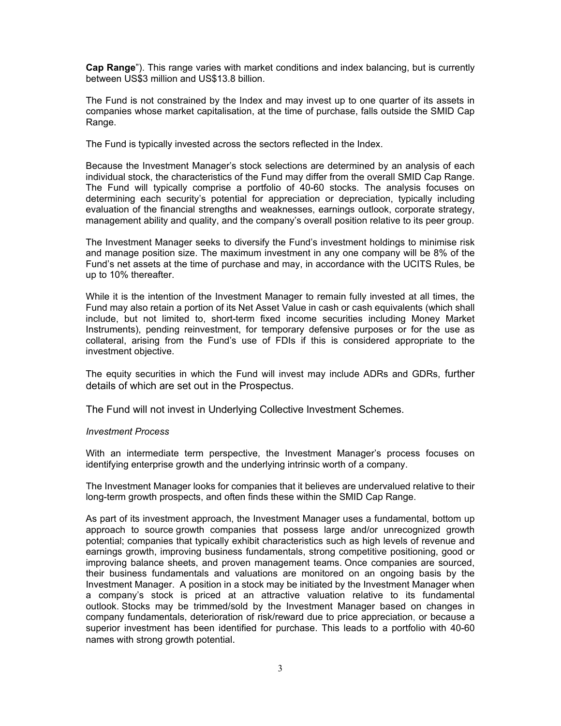**Cap Range**"). This range varies with market conditions and index balancing, but is currently between US\$3 million and US\$13.8 billion.

The Fund is not constrained by the Index and may invest up to one quarter of its assets in companies whose market capitalisation, at the time of purchase, falls outside the SMID Cap Range.

The Fund is typically invested across the sectors reflected in the Index.

Because the Investment Manager's stock selections are determined by an analysis of each individual stock, the characteristics of the Fund may differ from the overall SMID Cap Range. The Fund will typically comprise a portfolio of 40-60 stocks. The analysis focuses on determining each security's potential for appreciation or depreciation, typically including evaluation of the financial strengths and weaknesses, earnings outlook, corporate strategy, management ability and quality, and the company's overall position relative to its peer group.

The Investment Manager seeks to diversify the Fund's investment holdings to minimise risk and manage position size. The maximum investment in any one company will be 8% of the Fund's net assets at the time of purchase and may, in accordance with the UCITS Rules, be up to 10% thereafter.

While it is the intention of the Investment Manager to remain fully invested at all times, the Fund may also retain a portion of its Net Asset Value in cash or cash equivalents (which shall include, but not limited to, short-term fixed income securities including Money Market Instruments), pending reinvestment, for temporary defensive purposes or for the use as collateral, arising from the Fund's use of FDIs if this is considered appropriate to the investment objective.

The equity securities in which the Fund will invest may include ADRs and GDRs, further details of which are set out in the Prospectus.

The Fund will not invest in Underlying Collective Investment Schemes.

### *Investment Process*

With an intermediate term perspective, the Investment Manager's process focuses on identifying enterprise growth and the underlying intrinsic worth of a company.

The Investment Manager looks for companies that it believes are undervalued relative to their long-term growth prospects, and often finds these within the SMID Cap Range.

As part of its investment approach, the Investment Manager uses a fundamental, bottom up approach to source growth companies that possess large and/or unrecognized growth potential; companies that typically exhibit characteristics such as high levels of revenue and earnings growth, improving business fundamentals, strong competitive positioning, good or improving balance sheets, and proven management teams. Once companies are sourced, their business fundamentals and valuations are monitored on an ongoing basis by the Investment Manager. A position in a stock may be initiated by the Investment Manager when a company's stock is priced at an attractive valuation relative to its fundamental outlook. Stocks may be trimmed/sold by the Investment Manager based on changes in company fundamentals, deterioration of risk/reward due to price appreciation, or because a superior investment has been identified for purchase. This leads to a portfolio with 40-60 names with strong growth potential.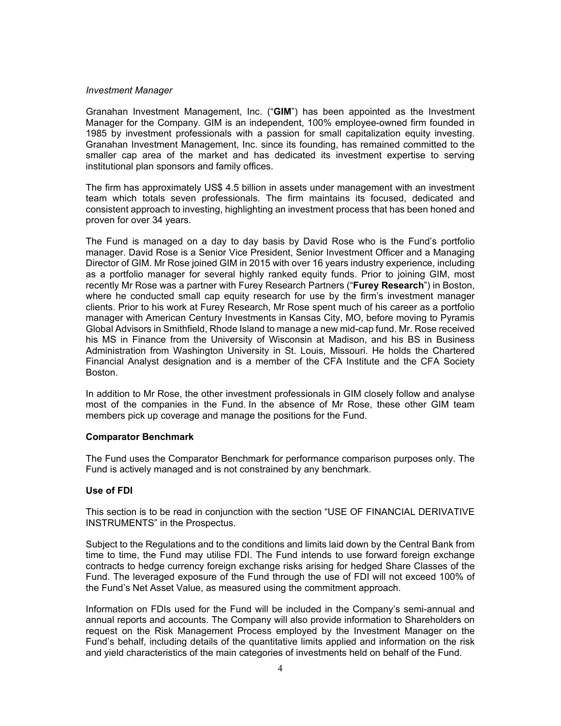### *Investment Manager*

Granahan Investment Management, Inc. ("**GIM**") has been appointed as the Investment Manager for the Company. GIM is an independent, 100% employee-owned firm founded in 1985 by investment professionals with a passion for small capitalization equity investing. Granahan Investment Management, Inc. since its founding, has remained committed to the smaller cap area of the market and has dedicated its investment expertise to serving institutional plan sponsors and family offices.

The firm has approximately US\$ 4.5 billion in assets under management with an investment team which totals seven professionals. The firm maintains its focused, dedicated and consistent approach to investing, highlighting an investment process that has been honed and proven for over 34 years.

The Fund is managed on a day to day basis by David Rose who is the Fund's portfolio manager. David Rose is a Senior Vice President, Senior Investment Officer and a Managing Director of GIM. Mr Rose joined GIM in 2015 with over 16 years industry experience, including as a portfolio manager for several highly ranked equity funds. Prior to joining GIM, most recently Mr Rose was a partner with Furey Research Partners ("**Furey Research**") in Boston, where he conducted small cap equity research for use by the firm's investment manager clients. Prior to his work at Furey Research, Mr Rose spent much of his career as a portfolio manager with American Century Investments in Kansas City, MO, before moving to Pyramis Global Advisors in Smithfield, Rhode Island to manage a new mid-cap fund. Mr. Rose received his MS in Finance from the University of Wisconsin at Madison, and his BS in Business Administration from Washington University in St. Louis, Missouri. He holds the Chartered Financial Analyst designation and is a member of the CFA Institute and the CFA Society Boston.

In addition to Mr Rose, the other investment professionals in GIM closely follow and analyse most of the companies in the Fund. In the absence of Mr Rose, these other GIM team members pick up coverage and manage the positions for the Fund.

### **Comparator Benchmark**

The Fund uses the Comparator Benchmark for performance comparison purposes only. The Fund is actively managed and is not constrained by any benchmark.

### **Use of FDI**

This section is to be read in conjunction with the section "USE OF FINANCIAL DERIVATIVE INSTRUMENTS" in the Prospectus.

Subject to the Regulations and to the conditions and limits laid down by the Central Bank from time to time, the Fund may utilise FDI. The Fund intends to use forward foreign exchange contracts to hedge currency foreign exchange risks arising for hedged Share Classes of the Fund. The leveraged exposure of the Fund through the use of FDI will not exceed 100% of the Fund's Net Asset Value, as measured using the commitment approach.

Information on FDIs used for the Fund will be included in the Company's semi-annual and annual reports and accounts. The Company will also provide information to Shareholders on request on the Risk Management Process employed by the Investment Manager on the Fund's behalf, including details of the quantitative limits applied and information on the risk and yield characteristics of the main categories of investments held on behalf of the Fund.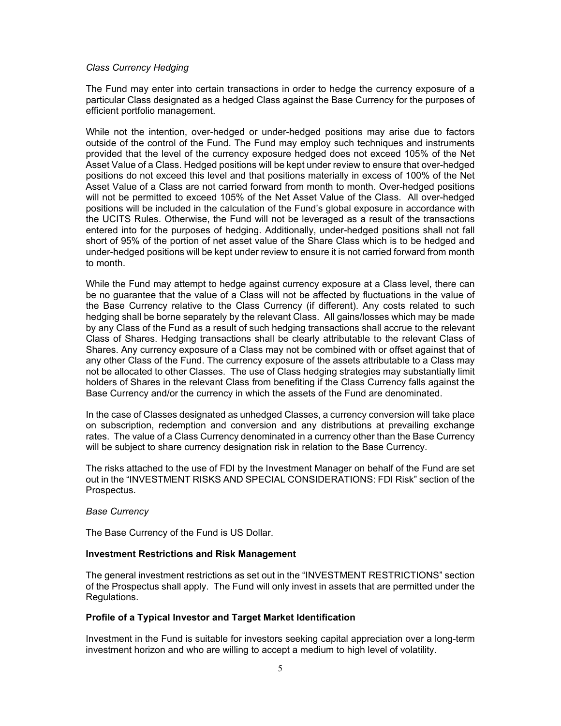### *Class Currency Hedging*

The Fund may enter into certain transactions in order to hedge the currency exposure of a particular Class designated as a hedged Class against the Base Currency for the purposes of efficient portfolio management.

While not the intention, over-hedged or under-hedged positions may arise due to factors outside of the control of the Fund. The Fund may employ such techniques and instruments provided that the level of the currency exposure hedged does not exceed 105% of the Net Asset Value of a Class. Hedged positions will be kept under review to ensure that over-hedged positions do not exceed this level and that positions materially in excess of 100% of the Net Asset Value of a Class are not carried forward from month to month. Over-hedged positions will not be permitted to exceed 105% of the Net Asset Value of the Class. All over-hedged positions will be included in the calculation of the Fund's global exposure in accordance with the UCITS Rules. Otherwise, the Fund will not be leveraged as a result of the transactions entered into for the purposes of hedging. Additionally, under-hedged positions shall not fall short of 95% of the portion of net asset value of the Share Class which is to be hedged and under-hedged positions will be kept under review to ensure it is not carried forward from month to month.

While the Fund may attempt to hedge against currency exposure at a Class level, there can be no guarantee that the value of a Class will not be affected by fluctuations in the value of the Base Currency relative to the Class Currency (if different). Any costs related to such hedging shall be borne separately by the relevant Class. All gains/losses which may be made by any Class of the Fund as a result of such hedging transactions shall accrue to the relevant Class of Shares. Hedging transactions shall be clearly attributable to the relevant Class of Shares. Any currency exposure of a Class may not be combined with or offset against that of any other Class of the Fund. The currency exposure of the assets attributable to a Class may not be allocated to other Classes. The use of Class hedging strategies may substantially limit holders of Shares in the relevant Class from benefiting if the Class Currency falls against the Base Currency and/or the currency in which the assets of the Fund are denominated.

In the case of Classes designated as unhedged Classes, a currency conversion will take place on subscription, redemption and conversion and any distributions at prevailing exchange rates. The value of a Class Currency denominated in a currency other than the Base Currency will be subject to share currency designation risk in relation to the Base Currency.

The risks attached to the use of FDI by the Investment Manager on behalf of the Fund are set out in the "INVESTMENT RISKS AND SPECIAL CONSIDERATIONS: FDI Risk" section of the Prospectus.

#### *Base Currency*

The Base Currency of the Fund is US Dollar.

#### **Investment Restrictions and Risk Management**

The general investment restrictions as set out in the "INVESTMENT RESTRICTIONS" section of the Prospectus shall apply. The Fund will only invest in assets that are permitted under the Regulations.

### **Profile of a Typical Investor and Target Market Identification**

Investment in the Fund is suitable for investors seeking capital appreciation over a long-term investment horizon and who are willing to accept a medium to high level of volatility.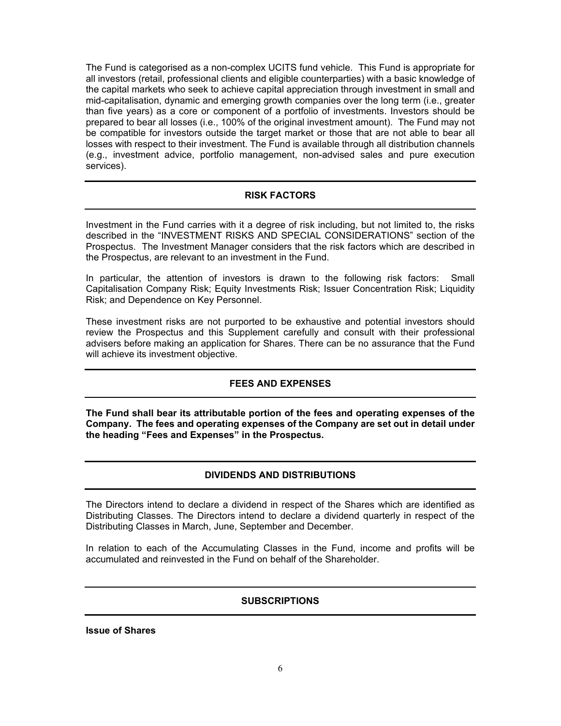The Fund is categorised as a non-complex UCITS fund vehicle. This Fund is appropriate for all investors (retail, professional clients and eligible counterparties) with a basic knowledge of the capital markets who seek to achieve capital appreciation through investment in small and mid-capitalisation, dynamic and emerging growth companies over the long term (i.e., greater than five years) as a core or component of a portfolio of investments. Investors should be prepared to bear all losses (i.e., 100% of the original investment amount). The Fund may not be compatible for investors outside the target market or those that are not able to bear all losses with respect to their investment. The Fund is available through all distribution channels (e.g., investment advice, portfolio management, non-advised sales and pure execution services).

## **RISK FACTORS**

Investment in the Fund carries with it a degree of risk including, but not limited to, the risks described in the "INVESTMENT RISKS AND SPECIAL CONSIDERATIONS" section of the Prospectus. The Investment Manager considers that the risk factors which are described in the Prospectus, are relevant to an investment in the Fund.

In particular, the attention of investors is drawn to the following risk factors: Small Capitalisation Company Risk; Equity Investments Risk; Issuer Concentration Risk; Liquidity Risk; and Dependence on Key Personnel.

These investment risks are not purported to be exhaustive and potential investors should review the Prospectus and this Supplement carefully and consult with their professional advisers before making an application for Shares. There can be no assurance that the Fund will achieve its investment objective.

# **FEES AND EXPENSES**

**The Fund shall bear its attributable portion of the fees and operating expenses of the Company. The fees and operating expenses of the Company are set out in detail under the heading "Fees and Expenses" in the Prospectus.** 

## **DIVIDENDS AND DISTRIBUTIONS**

The Directors intend to declare a dividend in respect of the Shares which are identified as Distributing Classes. The Directors intend to declare a dividend quarterly in respect of the Distributing Classes in March, June, September and December.

In relation to each of the Accumulating Classes in the Fund, income and profits will be accumulated and reinvested in the Fund on behalf of the Shareholder.

## **SUBSCRIPTIONS**

**Issue of Shares**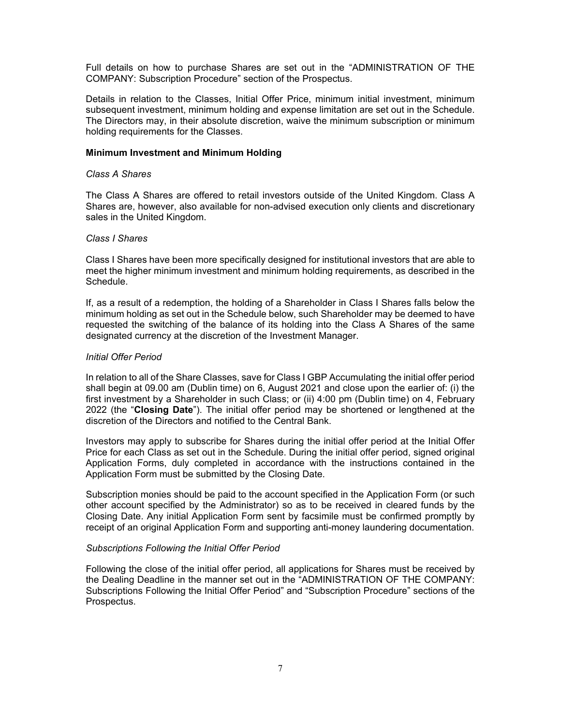Full details on how to purchase Shares are set out in the "ADMINISTRATION OF THE COMPANY: Subscription Procedure" section of the Prospectus.

Details in relation to the Classes, Initial Offer Price, minimum initial investment, minimum subsequent investment, minimum holding and expense limitation are set out in the Schedule. The Directors may, in their absolute discretion, waive the minimum subscription or minimum holding requirements for the Classes.

#### **Minimum Investment and Minimum Holding**

### *Class A Shares*

The Class A Shares are offered to retail investors outside of the United Kingdom. Class A Shares are, however, also available for non-advised execution only clients and discretionary sales in the United Kingdom.

### *Class I Shares*

Class I Shares have been more specifically designed for institutional investors that are able to meet the higher minimum investment and minimum holding requirements, as described in the Schedule.

If, as a result of a redemption, the holding of a Shareholder in Class I Shares falls below the minimum holding as set out in the Schedule below, such Shareholder may be deemed to have requested the switching of the balance of its holding into the Class A Shares of the same designated currency at the discretion of the Investment Manager.

### *Initial Offer Period*

In relation to all of the Share Classes, save for Class I GBP Accumulating the initial offer period shall begin at 09.00 am (Dublin time) on 6, August 2021 and close upon the earlier of: (i) the first investment by a Shareholder in such Class; or (ii) 4:00 pm (Dublin time) on 4, February 2022 (the "**Closing Date**"). The initial offer period may be shortened or lengthened at the discretion of the Directors and notified to the Central Bank.

Investors may apply to subscribe for Shares during the initial offer period at the Initial Offer Price for each Class as set out in the Schedule. During the initial offer period, signed original Application Forms, duly completed in accordance with the instructions contained in the Application Form must be submitted by the Closing Date.

Subscription monies should be paid to the account specified in the Application Form (or such other account specified by the Administrator) so as to be received in cleared funds by the Closing Date. Any initial Application Form sent by facsimile must be confirmed promptly by receipt of an original Application Form and supporting anti-money laundering documentation.

#### *Subscriptions Following the Initial Offer Period*

Following the close of the initial offer period, all applications for Shares must be received by the Dealing Deadline in the manner set out in the "ADMINISTRATION OF THE COMPANY: Subscriptions Following the Initial Offer Period" and "Subscription Procedure" sections of the Prospectus.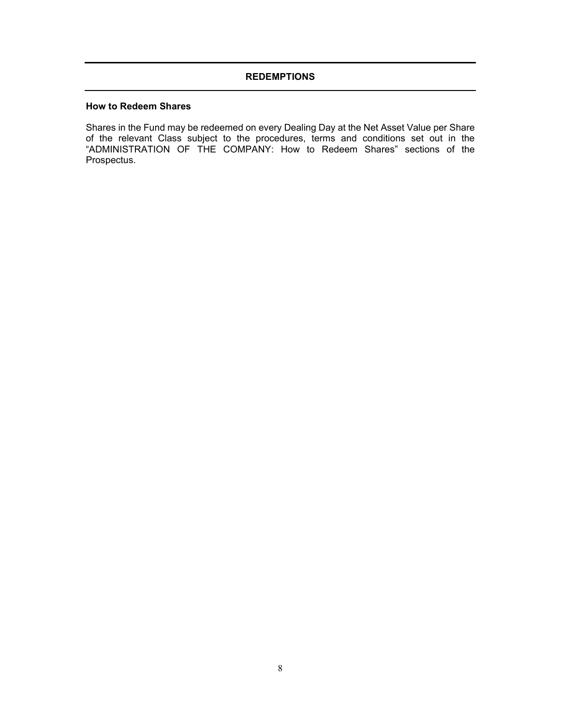# **REDEMPTIONS**

## **How to Redeem Shares**

Shares in the Fund may be redeemed on every Dealing Day at the Net Asset Value per Share of the relevant Class subject to the procedures, terms and conditions set out in the "ADMINISTRATION OF THE COMPANY: How to Redeem Shares" sections of the Prospectus.